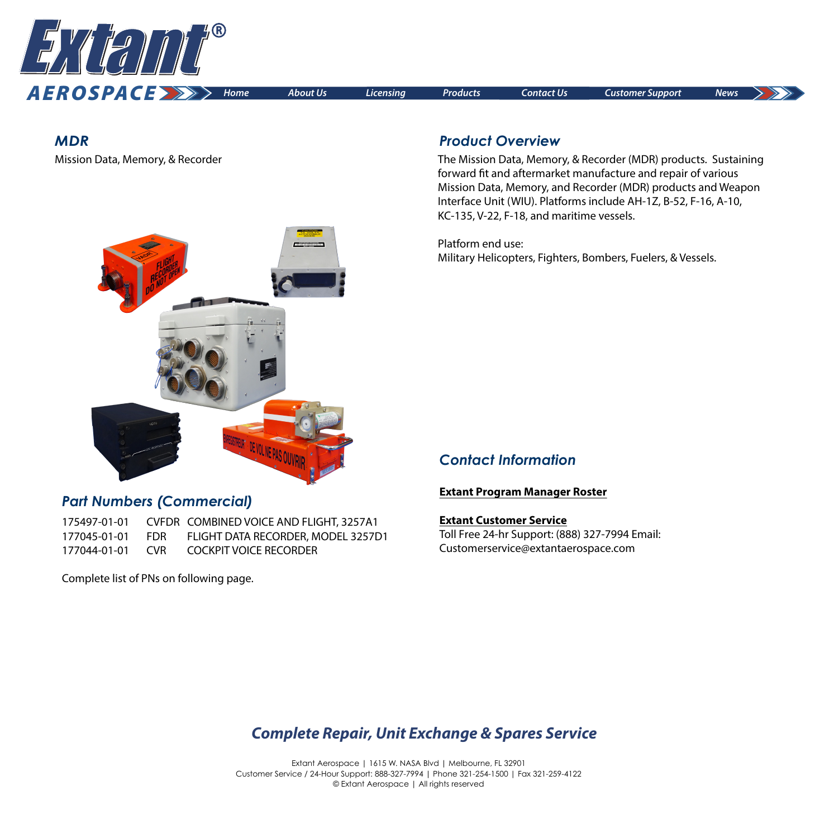

### *MDR*

Mission Data, Memory, & Recorder



# *Part Numbers (Commercial)*

175497-01-01 CVFDR COMBINED VOICE AND FLIGHT, 3257A1 177045-01-01 FDR FLIGHT DATA RECORDER, MODEL 3257D1 177044-01-01 CVR COCKPIT VOICE RECORDER

Complete list of PNs on following page.

## *Product Overview*

The Mission Data, Memory, & Recorder (MDR) products. Sustaining forward fit and aftermarket manufacture and repair of various Mission Data, Memory, and Recorder (MDR) products and Weapon Interface Unit (WIU). Platforms include AH-1Z, B-52, F-16, A-10, KC-135, V-22, F-18, and maritime vessels.

Platform end use: Military Helicopters, Fighters, Bombers, Fuelers, & Vessels.

## *Contact Information*

### **[Extant Program Manager](https://extantaerospace.com/docs/Program_Manager_Roster.pdf) Roster**

### **Extant Customer Service**

Toll Free 24-hr Support: (888) 327-7994 Email: Customerservice@extantaerospace.com

# *Complete Repair, Unit Exchange & Spares Service*

Extant Aerospace | 1615 W. NASA Blvd | Melbourne, FL 32901 Customer Service / 24-Hour Support: 888-327-7994 | Phone 321-254-1500 | Fax 321-259-4122 © Extant Aerospace | All rights reserved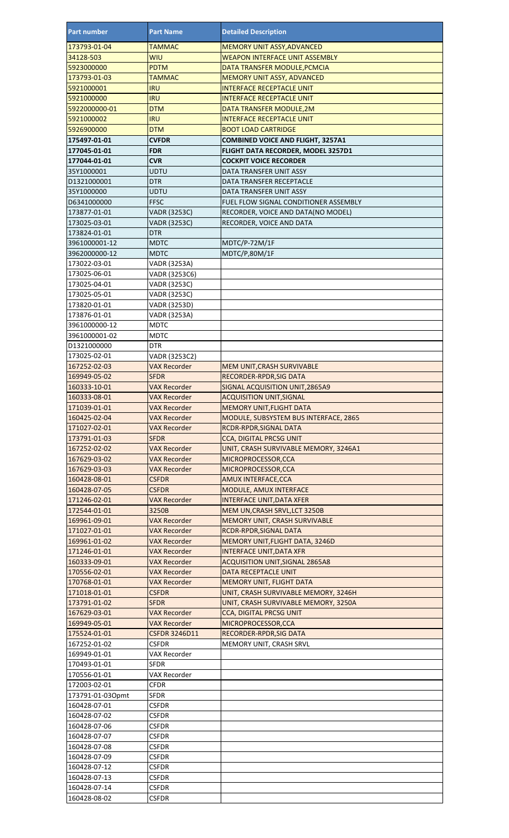| <b>Part number</b> | <b>Part Name</b>     | <b>Detailed Description</b>                                                    |
|--------------------|----------------------|--------------------------------------------------------------------------------|
| 173793-01-04       | <b>TAMMAC</b>        | <b>MEMORY UNIT ASSY, ADVANCED</b>                                              |
| 34128-503          | <b>WIU</b>           | <b>WEAPON INTERFACE UNIT ASSEMBLY</b>                                          |
| 5923000000         | <b>PDTM</b>          | DATA TRANSFER MODULE, PCMCIA                                                   |
| 173793-01-03       | <b>TAMMAC</b>        | MEMORY UNIT ASSY, ADVANCED                                                     |
| 5921000001         | <b>IRU</b>           | <b>INTERFACE RECEPTACLE UNIT</b>                                               |
| 5921000000         | <b>IRU</b>           | <b>INTERFACE RECEPTACLE UNIT</b>                                               |
| 5922000000-01      | <b>DTM</b>           | DATA TRANSFER MODULE, 2M                                                       |
| 5921000002         | <b>IRU</b>           | <b>INTERFACE RECEPTACLE UNIT</b>                                               |
| 5926900000         | <b>DTM</b>           | <b>BOOT LOAD CARTRIDGE</b>                                                     |
| 175497-01-01       | <b>CVFDR</b>         |                                                                                |
| 177045-01-01       | <b>FDR</b>           | <b>COMBINED VOICE AND FLIGHT, 3257A1</b><br>FLIGHT DATA RECORDER, MODEL 3257D1 |
| 177044-01-01       | <b>CVR</b>           | <b>COCKPIT VOICE RECORDER</b>                                                  |
|                    |                      |                                                                                |
| 35Y1000001         | <b>UDTU</b>          | DATA TRANSFER UNIT ASSY                                                        |
| D1321000001        | <b>DTR</b>           | DATA TRANSFER RECEPTACLE                                                       |
| 35Y1000000         | <b>UDTU</b>          | DATA TRANSFER UNIT ASSY                                                        |
| D6341000000        | <b>FFSC</b>          | FUEL FLOW SIGNAL CONDITIONER ASSEMBLY                                          |
| 173877-01-01       | <b>VADR (3253C)</b>  | RECORDER, VOICE AND DATA(NO MODEL)                                             |
| 173025-03-01       | <b>VADR (3253C)</b>  | RECORDER, VOICE AND DATA                                                       |
| 173824-01-01       | <b>DTR</b>           |                                                                                |
| 3961000001-12      | <b>MDTC</b>          | MDTC/P-72M/1F                                                                  |
| 3962000000-12      | <b>MDTC</b>          | MDTC/P,80M/1F                                                                  |
| 173022-03-01       | VADR (3253A)         |                                                                                |
| 173025-06-01       | VADR (3253C6)        |                                                                                |
| 173025-04-01       | VADR (3253C)         |                                                                                |
| 173025-05-01       | VADR (3253C)         |                                                                                |
| 173820-01-01       | VADR (3253D)         |                                                                                |
| 173876-01-01       | VADR (3253A)         |                                                                                |
| 3961000000-12      | <b>MDTC</b>          |                                                                                |
| 3961000001-02      | <b>MDTC</b>          |                                                                                |
| D1321000000        | <b>DTR</b>           |                                                                                |
| 173025-02-01       | VADR (3253C2)        |                                                                                |
| 167252-02-03       | <b>VAX Recorder</b>  | MEM UNIT, CRASH SURVIVABLE                                                     |
| 169949-05-02       | <b>SFDR</b>          | <b>RECORDER-RPDR, SIG DATA</b>                                                 |
| 160333-10-01       | <b>VAX Recorder</b>  | SIGNAL ACQUISITION UNIT, 2865A9                                                |
| 160333-08-01       | <b>VAX Recorder</b>  | <b>ACQUISITION UNIT, SIGNAL</b>                                                |
| 171039-01-01       | <b>VAX Recorder</b>  | <b>MEMORY UNIT, FLIGHT DATA</b>                                                |
| 160425-02-04       | <b>VAX Recorder</b>  | MODULE, SUBSYSTEM BUS INTERFACE, 2865                                          |
| 171027-02-01       | <b>VAX Recorder</b>  | <b>RCDR-RPDR, SIGNAL DATA</b>                                                  |
| 173791-01-03       | <b>SFDR</b>          | CCA, DIGITAL PRCSG UNIT                                                        |
| 167252-02-02       | <b>VAX Recorder</b>  | UNIT, CRASH SURVIVABLE MEMORY, 3246A1                                          |
| 167629-03-02       | <b>VAX Recorder</b>  | MICROPROCESSOR, CCA                                                            |
| 167629-03-03       | <b>VAX Recorder</b>  | MICROPROCESSOR, CCA                                                            |
| 160428-08-01       | <b>CSFDR</b>         | <b>AMUX INTERFACE, CCA</b>                                                     |
| 160428-07-05       | <b>CSFDR</b>         | MODULE, AMUX INTERFACE                                                         |
| 171246-02-01       | <b>VAX Recorder</b>  | <b>INTERFACE UNIT, DATA XFER</b>                                               |
| 172544-01-01       | 3250B                | MEM UN, CRASH SRVL, LCT 3250B                                                  |
| 169961-09-01       | <b>VAX Recorder</b>  | MEMORY UNIT, CRASH SURVIVABLE                                                  |
| 171027-01-01       | <b>VAX Recorder</b>  | RCDR-RPDR, SIGNAL DATA                                                         |
| 169961-01-02       | <b>VAX Recorder</b>  | MEMORY UNIT, FLIGHT DATA, 3246D                                                |
| 171246-01-01       | <b>VAX Recorder</b>  | <b>INTERFACE UNIT, DATA XFR</b>                                                |
| 160333-09-01       | <b>VAX Recorder</b>  | <b>ACQUISITION UNIT, SIGNAL 2865A8</b>                                         |
| 170556-02-01       | <b>VAX Recorder</b>  | DATA RECEPTACLE UNIT                                                           |
| 170768-01-01       | <b>VAX Recorder</b>  | MEMORY UNIT, FLIGHT DATA                                                       |
| 171018-01-01       | <b>CSFDR</b>         | UNIT, CRASH SURVIVABLE MEMORY, 3246H                                           |
| 173791-01-02       | <b>SFDR</b>          | UNIT, CRASH SURVIVABLE MEMORY, 3250A                                           |
| 167629-03-01       | <b>VAX Recorder</b>  | <b>CCA, DIGITAL PRCSG UNIT</b>                                                 |
| 169949-05-01       | <b>VAX Recorder</b>  | MICROPROCESSOR, CCA                                                            |
| 175524-01-01       | <b>CSFDR 3246D11</b> | RECORDER-RPDR, SIG DATA                                                        |
| 167252-01-02       | <b>CSFDR</b>         | MEMORY UNIT, CRASH SRVL                                                        |
| 169949-01-01       | <b>VAX Recorder</b>  |                                                                                |
| 170493-01-01       | <b>SFDR</b>          |                                                                                |
| 170556-01-01       | <b>VAX Recorder</b>  |                                                                                |
| 172003-02-01       | <b>CFDR</b>          |                                                                                |
|                    |                      |                                                                                |
| 173791-01-030pmt   | <b>SFDR</b>          |                                                                                |
| 160428-07-01       | <b>CSFDR</b>         |                                                                                |
| 160428-07-02       | <b>CSFDR</b>         |                                                                                |
| 160428-07-06       | <b>CSFDR</b>         |                                                                                |
| 160428-07-07       | <b>CSFDR</b>         |                                                                                |
| 160428-07-08       | <b>CSFDR</b>         |                                                                                |
| 160428-07-09       | <b>CSFDR</b>         |                                                                                |
| 160428-07-12       | <b>CSFDR</b>         |                                                                                |
| 160428-07-13       | <b>CSFDR</b>         |                                                                                |
| 160428-07-14       | <b>CSFDR</b>         |                                                                                |
| 160428-08-02       | <b>CSFDR</b>         |                                                                                |